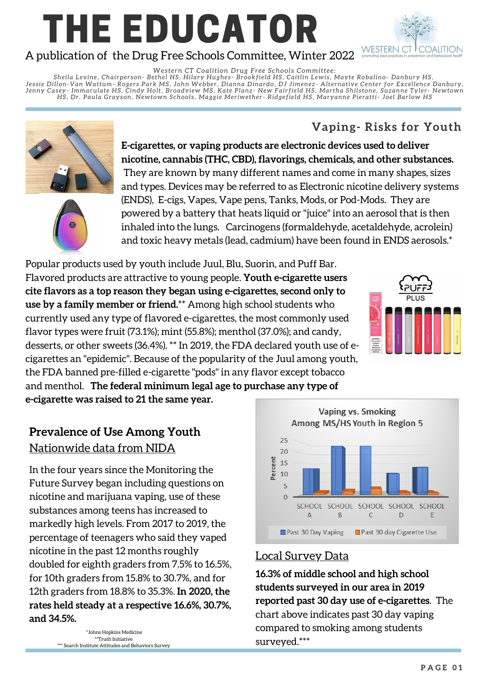# THE EDUCATOR A publication of the Drug Free Schools Committee, Winter 2022



*We s t e rn CT Coalition Drug Fr e e School s Committ e e :*

Sheila Levine, Chairperson- Bethel HS, Hilary Hughes- Brookfield HS, Caitlin Lewis, Mayte Robalino- Danbury HS, Jessie Dillon-Van Wattum- Rogers Park MS, John Webber, Dianna Dinardo, DJ Jimenez- Alternative Center for Excellence Danbury, Jenny Casey- Immaculate HS, Cindy Holt, Broadview MS, Kate Planz- New Fairfield HS, Martha Shilstone, Suzanne Tyler- Newtown HS, Dr. Paula Grayson, Newtown Schools, Maggie Meriwether- Ridgefield HS, Maryanne Pieratti- Joel Barlow HS

## **Vaping- Risks for Youth**



**E-cigarettes, or vaping products are electronic devices used to deliver nicotine, cannabis (THC, CBD), flavorings, chemicals, and other substances.** They are known by many different names and come in many shapes, sizes and types. Devices may be referred to as Electronic nicotine delivery systems (ENDS), E-cigs, Vapes, Vape pens, Tanks, Mods, or Pod-Mods. They are powered by a battery that heats liquid or "juice" into an aerosol that is then inhaled into the lungs. Carcinogens (formaldehyde, acetaldehyde, acrolein) and toxic heavy metals (lead, cadmium) have been found in ENDS aerosols.\*

Popular products used by youth include Juul, Blu, Suorin, and Puff Bar. Flavored products are attractive to young people. **Youth e-cigarette users cite flavors as a top reason they began using e-cigarettes, second only to use by a family member or friend.**\*\* Among high school students who currently used any type of flavored e-cigarettes, the most commonly used flavor types were fruit (73.1%); mint (55.8%); menthol (37.0%); and candy, desserts, or other sweets (36.4%). \*\* In 2019, the FDA declared youth use of ecigarettes an "epidemic". Because of the popularity of the Juul among youth, the FDA banned pre-filled e-cigarette "pods" in any flavor except tobacco and menthol. **The federal minimum legal age to purchase any type of**



**e-cigarette was raised to 21 the same year.**

# **Prevalence of Use Among Youth** Nationwide data from NIDA

In the four years since the Monitoring the Future Survey began including questions on nicotine and marijuana vaping, use of these substances among teens has increased to markedly high levels. From 2017 to 2019, the percentage of teenagers who said they vaped nicotine in the past 12 months roughly doubled for eighth graders from 7.5% to 16.5%, for 10th graders from 15.8% to 30.7%, and for 12th graders from 18.8% to 35.3%. **In 2020, the rates held steady at a respective 16.6%, 30.7%, and 34.5%.**

> \*Johns Hopkins Medicine \*\*Truth Initiative \*\*\* Search Institute Attitudes and Behaviors Survey

**Vaping vs. Smoking** Among MS/HS Youth in Region 5 25 20 Percent 15 10 5  $\Omega$ SCHOOL SCHOOL SCHOOL SCHOOL SCHOOL  $\overline{A}$ B  $\mathsf{C}$ D E Past 30 Day Vaping Past 30 day Cigarette Use

#### Local Survey Data

**16.3% of middle school and high school students surveyed in our area in 2019 reported past 30 day use of e-cigarettes**. The chart above indicates past 30 day vaping compared to smoking among students surveyed.\*\*\*